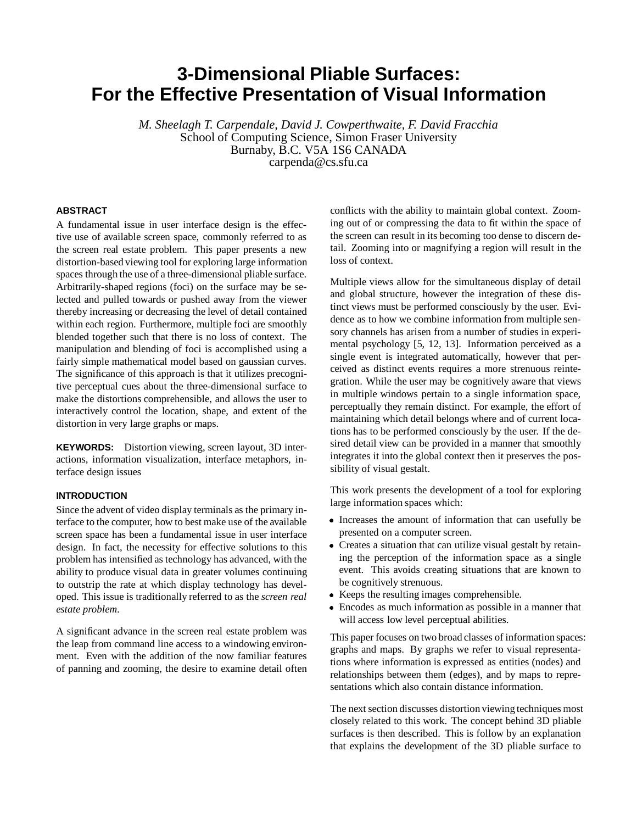# **3-Dimensional Pliable Surfaces: For the Effective Presentation of Visual Information**

*M. Sheelagh T. Carpendale*, *David J. Cowperthwaite*, *F. David Fracchia* School of Computing Science, Simon Fraser University Burnaby, B.C. V5A 1S6 CANADA carpenda@cs.sfu.ca

#### **ABSTRACT**

A fundamental issue in user interface design is the effective use of available screen space, commonly referred to as the screen real estate problem. This paper presents a new distortion-based viewing tool for exploring large information spaces through the use of a three-dimensional pliable surface. Arbitrarily-shaped regions (foci) on the surface may be selected and pulled towards or pushed away from the viewer thereby increasing or decreasing the level of detail contained within each region. Furthermore, multiple foci are smoothly blended together such that there is no loss of context. The manipulation and blending of foci is accomplished using a fairly simple mathematical model based on gaussian curves. The significance of this approach is that it utilizes precognitive perceptual cues about the three-dimensional surface to make the distortions comprehensible, and allows the user to interactively control the location, shape, and extent of the distortion in very large graphs or maps.

**KEYWORDS:** Distortion viewing, screen layout, 3D interactions, information visualization, interface metaphors, interface design issues

# **INTRODUCTION**

Since the advent of video display terminals as the primary interface to the computer, how to best make use of the available screen space has been a fundamental issue in user interface design. In fact, the necessity for effective solutions to this problem has intensified as technology has advanced, with the ability to produce visual data in greater volumes continuing to outstrip the rate at which display technology has developed. This issue is traditionally referred to as the *screen real estate problem*.

A significant advance in the screen real estate problem was the leap from command line access to a windowing environment. Even with the addition of the now familiar features of panning and zooming, the desire to examine detail often conflicts with the ability to maintain global context. Zooming out of or compressing the data to fit within the space of the screen can result in its becoming too dense to discern detail. Zooming into or magnifying a region will result in the loss of context.

Multiple views allow for the simultaneous display of detail and global structure, however the integration of these distinct views must be performed consciously by the user. Evidence as to how we combine information from multiple sensory channels has arisen from a number of studies in experimental psychology [5, 12, 13]. Information perceived as a single event is integrated automatically, however that perceived as distinct events requires a more strenuous reintegration. While the user may be cognitively aware that views in multiple windows pertain to a single information space, perceptually they remain distinct. For example, the effort of maintaining which detail belongs where and of current locations has to be performed consciously by the user. If the desired detail view can be provided in a manner that smoothly integrates it into the global context then it preserves the possibility of visual gestalt.

This work presents the development of a tool for exploring large information spaces which:

- Increases the amount of information that can usefully be presented on a computer screen.
- Creates a situation that can utilize visual gestalt by retaining the perception of the information space as a single event. This avoids creating situations that are known to be cognitively strenuous.
- Keeps the resulting images comprehensible.
- Encodes as much information as possible in a manner that will access low level perceptual abilities.

This paper focuses on two broad classes of information spaces: graphs and maps. By graphs we refer to visual representations where information is expressed as entities (nodes) and relationships between them (edges), and by maps to representations which also contain distance information.

The next section discusses distortion viewing techniques most closely related to this work. The concept behind 3D pliable surfaces is then described. This is follow by an explanation that explains the development of the 3D pliable surface to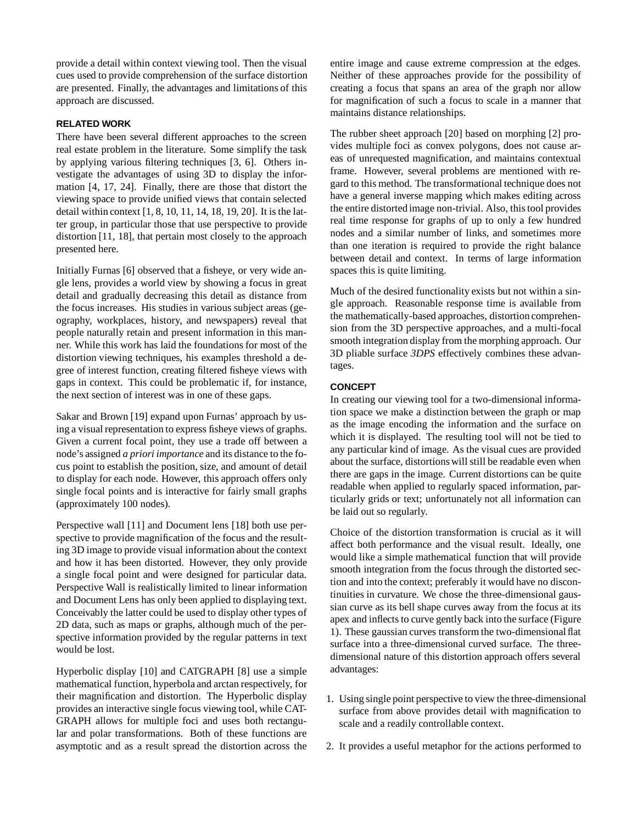provide a detail within context viewing tool. Then the visual cues used to provide comprehension of the surface distortion are presented. Finally, the advantages and limitations of this approach are discussed.

# **RELATED WORK**

There have been several different approaches to the screen real estate problem in the literature. Some simplify the task by applying various filtering techniques [3, 6]. Others investigate the advantages of using 3D to display the information [4, 17, 24]. Finally, there are those that distort the viewing space to provide unified views that contain selected detail within context [1, 8, 10, 11, 14, 18, 19, 20]. It is the latter group, in particular those that use perspective to provide distortion [11, 18], that pertain most closely to the approach presented here.

Initially Furnas [6] observed that a fisheye, or very wide angle lens, provides a world view by showing a focus in great detail and gradually decreasing this detail as distance from the focus increases. His studies in various subject areas (geography, workplaces, history, and newspapers) reveal that people naturally retain and present information in this manner. While this work has laid the foundations for most of the distortion viewing techniques, his examples threshold a degree of interest function, creating filtered fisheye views with gaps in context. This could be problematic if, for instance, the next section of interest was in one of these gaps.

Sakar and Brown [19] expand upon Furnas' approach by using a visual representation to express fisheye views of graphs. Given a current focal point, they use a trade off between a node's assigned *a priori importance* and its distance to the focus point to establish the position, size, and amount of detail to display for each node. However, this approach offers only single focal points and is interactive for fairly small graphs (approximately 100 nodes).

Perspective wall [11] and Document lens [18] both use perspective to provide magnification of the focus and the resulting 3D image to provide visual information about the context and how it has been distorted. However, they only provide a single focal point and were designed for particular data. Perspective Wall is realistically limited to linear information and Document Lens has only been applied to displaying text. Conceivably the latter could be used to display other types of 2D data, such as maps or graphs, although much of the perspective information provided by the regular patterns in text would be lost.

Hyperbolic display [10] and CATGRAPH [8] use a simple mathematical function, hyperbola and arctan respectively, for their magnification and distortion. The Hyperbolic display provides an interactive single focus viewing tool, while CAT-GRAPH allows for multiple foci and uses both rectangular and polar transformations. Both of these functions are asymptotic and as a result spread the distortion across the entire image and cause extreme compression at the edges. Neither of these approaches provide for the possibility of creating a focus that spans an area of the graph nor allow for magnification of such a focus to scale in a manner that maintains distance relationships.

The rubber sheet approach [20] based on morphing [2] provides multiple foci as convex polygons, does not cause areas of unrequested magnification, and maintains contextual frame. However, several problems are mentioned with regard to this method. The transformational technique does not have a general inverse mapping which makes editing across the entire distorted image non-trivial. Also, this tool provides real time response for graphs of up to only a few hundred nodes and a similar number of links, and sometimes more than one iteration is required to provide the right balance between detail and context. In terms of large information spaces this is quite limiting.

Much of the desired functionality exists but not within a single approach. Reasonable response time is available from the mathematically-based approaches, distortion comprehension from the 3D perspective approaches, and a multi-focal smooth integration display from the morphing approach. Our 3D pliable surface *3DPS* effectively combines these advantages.

#### **CONCEPT**

In creating our viewing tool for a two-dimensional information space we make a distinction between the graph or map as the image encoding the information and the surface on which it is displayed. The resulting tool will not be tied to any particular kind of image. As the visual cues are provided about the surface, distortions will still be readable even when there are gaps in the image. Current distortions can be quite readable when applied to regularly spaced information, particularly grids or text; unfortunately not all information can be laid out so regularly.

Choice of the distortion transformation is crucial as it will affect both performance and the visual result. Ideally, one would like a simple mathematical function that will provide smooth integration from the focus through the distorted section and into the context; preferably it would have no discontinuities in curvature. We chose the three-dimensional gaussian curve as its bell shape curves away from the focus at its apex and inflects to curve gently back into the surface (Figure 1). These gaussian curves transform the two-dimensional flat surface into a three-dimensional curved surface. The threedimensional nature of this distortion approach offers several advantages:

- 1. Using single point perspective to view the three-dimensional surface from above provides detail with magnification to scale and a readily controllable context.
- 2. It provides a useful metaphor for the actions performed to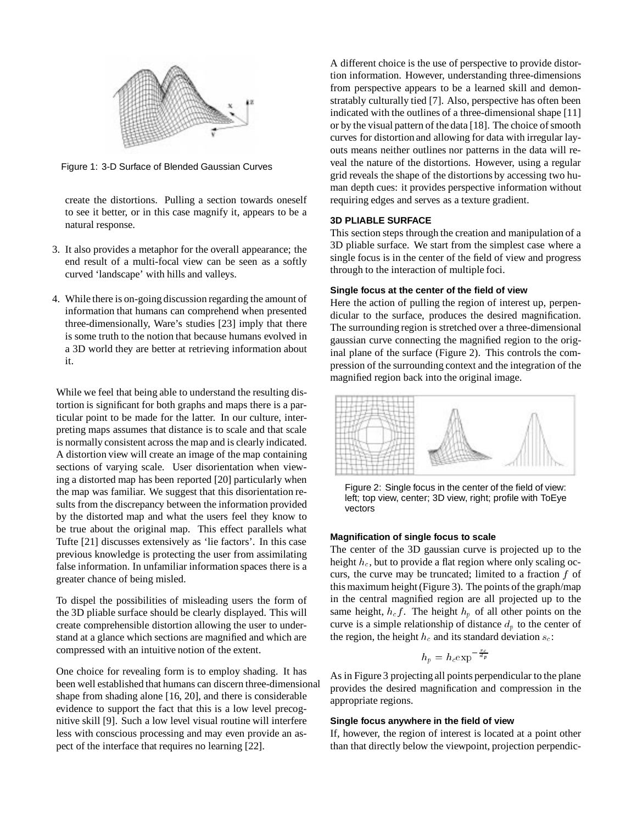

Figure 1: 3-D Surface of Blended Gaussian Curves

create the distortions. Pulling a section towards oneself to see it better, or in this case magnify it, appears to be a natural response.

- 3. It also provides a metaphor for the overall appearance; the end result of a multi-focal view can be seen as a softly curved 'landscape' with hills and valleys.
- 4. While there is on-going discussion regarding the amount of information that humans can comprehend when presented three-dimensionally, Ware's studies [23] imply that there is some truth to the notion that because humans evolved in a 3D world they are better at retrieving information about it.

While we feel that being able to understand the resulting distortion is significant for both graphs and maps there is a particular point to be made for the latter. In our culture, interpreting maps assumes that distance is to scale and that scale is normally consistent across the map and is clearly indicated. A distortion view will create an image of the map containing sections of varying scale. User disorientation when viewing a distorted map has been reported [20] particularly when the map was familiar. We suggest that this disorientation results from the discrepancy between the information provided by the distorted map and what the users feel they know to be true about the original map. This effect parallels what Tufte [21] discusses extensively as 'lie factors'. In this case previous knowledge is protecting the user from assimilating false information. In unfamiliar information spaces there is a greater chance of being misled.

To dispel the possibilities of misleading users the form of the 3D pliable surface should be clearly displayed. This will create comprehensible distortion allowing the user to understand at a glance which sections are magnified and which are compressed with an intuitive notion of the extent.

One choice for revealing form is to employ shading. It has been well established that humans can discern three-dimensional shape from shading alone [16, 20], and there is considerable evidence to support the fact that this is a low level precognitive skill [9]. Such a low level visual routine will interfere less with conscious processing and may even provide an aspect of the interface that requires no learning [22].

A different choice is the use of perspective to provide distortion information. However, understanding three-dimensions from perspective appears to be a learned skill and demonstratably culturally tied [7]. Also, perspective has often been indicated with the outlines of a three-dimensional shape [11] or by the visual pattern of the data [18]. The choice of smooth curves for distortion and allowing for data with irregular layouts means neither outlines nor patterns in the data will reveal the nature of the distortions. However, using a regular grid reveals the shape of the distortions by accessing two human depth cues: it provides perspective information without requiring edges and serves as a texture gradient.

#### **3D PLIABLE SURFACE**

This section steps through the creation and manipulation of a 3D pliable surface. We start from the simplest case where a single focus is in the center of the field of view and progress through to the interaction of multiple foci.

#### **Single focus at the center of the field of view**

Here the action of pulling the region of interest up, perpendicular to the surface, produces the desired magnification. The surrounding region is stretched over a three-dimensional gaussian curve connecting the magnified region to the original plane of the surface (Figure 2). This controls the compression of the surrounding context and the integration of the magnified region back into the original image.



Figure 2: Single focus in the center of the field of view: left; top view, center; 3D view, right; profile with ToEye vectors

#### **Magnification of single focus to scale**

The center of the 3D gaussian curve is projected up to the height  $h_c$ , but to provide a flat region where only scaling occurs, the curve may be truncated; limited to a fraction  $f$  of this maximum height (Figure 3). The points of the graph/map in the central magnified region are all projected up to the same height,  $h_c f$ . The height  $h_p$  of all other points on the curve is a simple relationship of distance  $d<sub>p</sub>$  to the center of the region, the height  $h_c$  and its standard deviation  $s_c$ :

$$
h_p = h_c \exp^{-\frac{sc}{d_p}}
$$

As in Figure 3 projecting all points perpendicular to the plane provides the desired magnification and compression in the appropriate regions.

## **Single focus anywhere in the field of view**

If, however, the region of interest is located at a point other than that directly below the viewpoint, projection perpendic-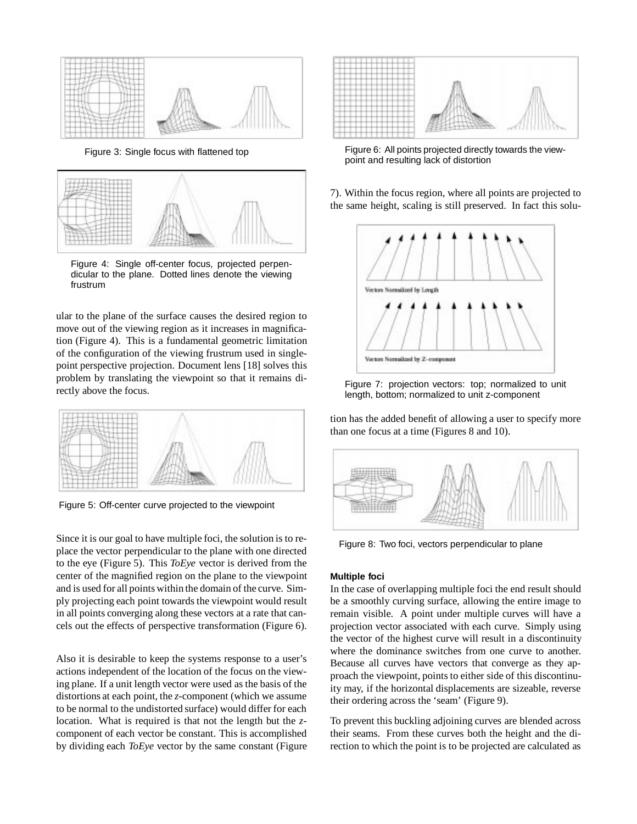

Figure 3: Single focus with flattened top



Figure 4: Single off-center focus, projected perpendicular to the plane. Dotted lines denote the viewing frustrum

ular to the plane of the surface causes the desired region to move out of the viewing region as it increases in magnification (Figure 4). This is a fundamental geometric limitation of the configuration of the viewing frustrum used in singlepoint perspective projection. Document lens [18] solves this problem by translating the viewpoint so that it remains directly above the focus.



Figure 5: Off-center curve projected to the viewpoint

Since it is our goal to have multiple foci, the solution is to replace the vector perpendicular to the plane with one directed to the eye (Figure 5). This *ToEye* vector is derived from the center of the magnified region on the plane to the viewpoint and is used for all points within the domain of the curve. Simply projecting each point towards the viewpoint would result in all points converging along these vectors at a rate that cancels out the effects of perspective transformation (Figure 6).

Also it is desirable to keep the systems response to a user's actions independent of the location of the focus on the viewing plane. If a unit length vector were used as the basis of the distortions at each point, the *z*-component (which we assume to be normal to the undistorted surface) would differ for each location. What is required is that not the length but the *z*component of each vector be constant. This is accomplished by dividing each *ToEye* vector by the same constant (Figure



Figure 6: All points projected directly towards the viewpoint and resulting lack of distortion

7). Within the focus region, where all points are projected to the same height, scaling is still preserved. In fact this solu-





tion has the added benefit of allowing a user to specify more than one focus at a time (Figures 8 and 10).



Figure 8: Two foci, vectors perpendicular to plane

#### **Multiple foci**

In the case of overlapping multiple foci the end result should be a smoothly curving surface, allowing the entire image to remain visible. A point under multiple curves will have a projection vector associated with each curve. Simply using the vector of the highest curve will result in a discontinuity where the dominance switches from one curve to another. Because all curves have vectors that converge as they approach the viewpoint, points to either side of this discontinuity may, if the horizontal displacements are sizeable, reverse their ordering across the 'seam' (Figure 9).

To prevent this buckling adjoining curves are blended across their seams. From these curves both the height and the direction to which the point is to be projected are calculated as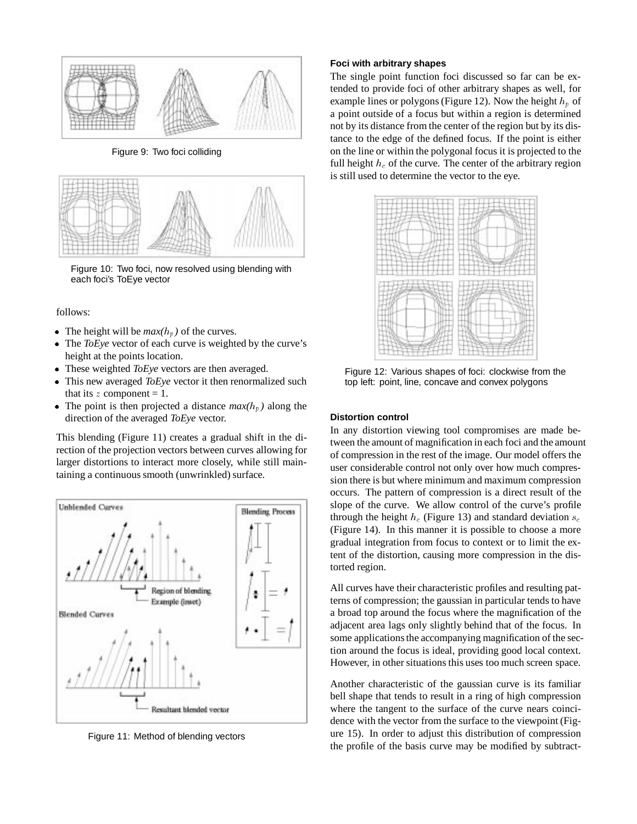

Figure 9: Two foci colliding



Figure 10: Two foci, now resolved using blending with each foci's ToEye vector

follows:

- The height will be  $max(h_p)$  of the curves.
- The*ToEye* vector of each curve is weighted by the curve's height at the points location.
- These weighted *ToEye* vectors are then averaged.
- This new averaged *ToEye* vector it then renormalized such that its  $z$  component = 1.
- The point is then projected a distance  $max(h_p)$  along the direction of the averaged *ToEye* vector.

This blending (Figure 11) creates a gradual shift in the direction of the projection vectors between curves allowing for larger distortions to interact more closely, while still maintaining a continuous smooth (unwrinkled) surface.



Figure 11: Method of blending vectors

#### **Foci with arbitrary shapes**

The single point function foci discussed so far can be extended to provide foci of other arbitrary shapes as well, for example lines or polygons (Figure 12). Now the height  $h_p$  of a point outside of a focus but within a region is determined not by its distance from the center of the region but by its distance to the edge of the defined focus. If the point is either on the line or within the polygonal focus it is projected to the full height  $h_c$  of the curve. The center of the arbitrary region is still used to determine the vector to the eye.



Figure 12: Various shapes of foci: clockwise from the top left: point, line, concave and convex polygons

#### **Distortion control**

In any distortion viewing tool compromises are made between the amount of magnification in each foci and the amount of compression in the rest of the image. Our model offers the user considerable control not only over how much compression there is but where minimum and maximum compression occurs. The pattern of compression is a direct result of the slope of the curve. We allow control of the curve's profile through the height  $h_c$  (Figure 13) and standard deviation  $s_c$ (Figure 14). In this manner it is possible to choose a more gradual integration from focus to context or to limit the extent of the distortion, causing more compression in the distorted region.

All curves have their characteristic profiles and resulting patterns of compression; the gaussian in particular tends to have a broad top around the focus where the magnification of the adjacent area lags only slightly behind that of the focus. In some applications the accompanying magnification of the section around the focus is ideal, providing good local context. However, in other situations this uses too much screen space.

Another characteristic of the gaussian curve is its familiar bell shape that tends to result in a ring of high compression where the tangent to the surface of the curve nears coincidence with the vector from the surface to the viewpoint (Figure 15). In order to adjust this distribution of compression the profile of the basis curve may be modified by subtract-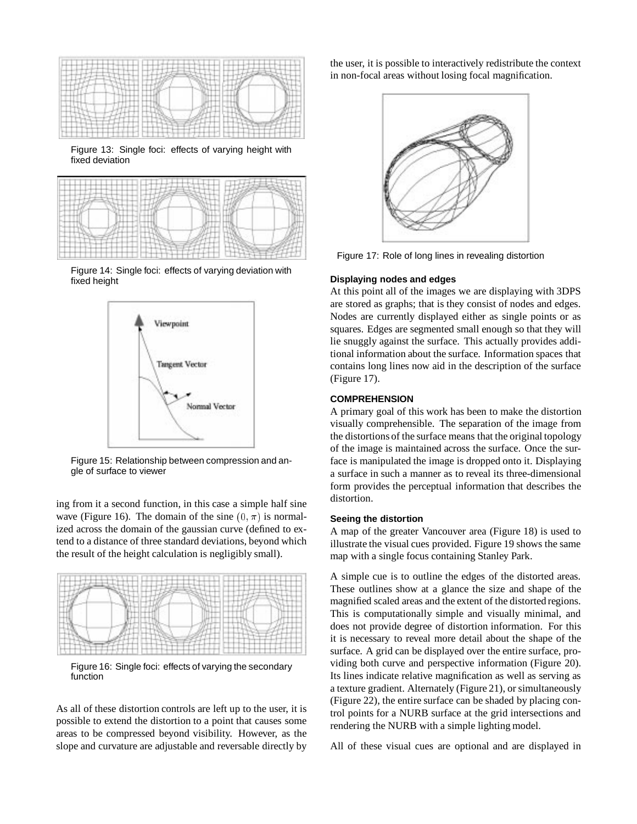

Figure 13: Single foci: effects of varying height with fixed deviation

| . .<br>--------<br>.          | <b>Silling</b><br>47544114<br>,,,,,,,,,,,<br> |
|-------------------------------|-----------------------------------------------|
| $13 - 1$<br>---<br>-----<br>. | $-1 - 444$<br>,,,,,,,,,,,,,<br>$-0.00$        |
|                               | ----                                          |

Figure 14: Single foci: effects of varying deviation with fixed height



Figure 15: Relationship between compression and angle of surface to viewer

ing from it a second function, in this case a simple half sine wave (Figure 16). The domain of the sine  $(0, \pi)$  is normalized across the domain of the gaussian curve (defined to extend to a distance of three standard deviations, beyond which the result of the height calculation is negligibly small).



Figure 16: Single foci: effects of varying the secondary function

As all of these distortion controls are left up to the user, it is possible to extend the distortion to a point that causes some areas to be compressed beyond visibility. However, as the slope and curvature are adjustable and reversable directly by

the user, it is possible to interactively redistribute the context in non-focal areas without losing focal magnification.



Figure 17: Role of long lines in revealing distortion

#### **Displaying nodes and edges**

At this point all of the images we are displaying with 3DPS are stored as graphs; that is they consist of nodes and edges. Nodes are currently displayed either as single points or as squares. Edges are segmented small enough so that they will lie snuggly against the surface. This actually provides additional information about the surface. Information spaces that contains long lines now aid in the description of the surface (Figure 17).

#### **COMPREHENSION**

A primary goal of this work has been to make the distortion visually comprehensible. The separation of the image from the distortions of the surface means that the original topology of the image is maintained across the surface. Once the surface is manipulated the image is dropped onto it. Displaying a surface in such a manner as to reveal its three-dimensional form provides the perceptual information that describes the distortion.

#### **Seeing the distortion**

A map of the greater Vancouver area (Figure 18) is used to illustrate the visual cues provided. Figure 19 shows the same map with a single focus containing Stanley Park.

A simple cue is to outline the edges of the distorted areas. These outlines show at a glance the size and shape of the magnified scaled areas and the extent of the distorted regions. This is computationally simple and visually minimal, and does not provide degree of distortion information. For this it is necessary to reveal more detail about the shape of the surface. A grid can be displayed over the entire surface, providing both curve and perspective information (Figure 20). Its lines indicate relative magnification as well as serving as a texture gradient. Alternately (Figure 21), or simultaneously (Figure 22), the entire surface can be shaded by placing control points for a NURB surface at the grid intersections and rendering the NURB with a simple lighting model.

All of these visual cues are optional and are displayed in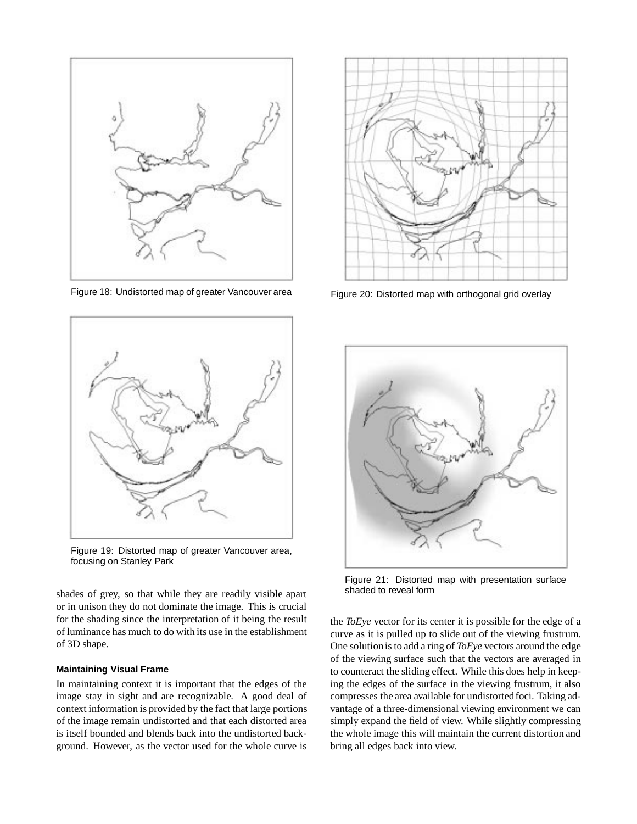

Figure 18: Undistorted map of greater Vancouver area



Figure 19: Distorted map of greater Vancouver area, focusing on Stanley Park

shades of grey, so that while they are readily visible apart or in unison they do not dominate the image. This is crucial for the shading since the interpretation of it being the result of luminance has much to do with its use in the establishment of 3D shape.

# **Maintaining Visual Frame**

In maintaining context it is important that the edges of the image stay in sight and are recognizable. A good deal of context information is provided by the fact that large portions of the image remain undistorted and that each distorted area is itself bounded and blends back into the undistorted background. However, as the vector used for the whole curve is



Figure 20: Distorted map with orthogonal grid overlay



Figure 21: Distorted map with presentation surface shaded to reveal form

the *ToEye* vector for its center it is possible for the edge of a curve as it is pulled up to slide out of the viewing frustrum. One solutionis to add a ring of *ToEye* vectors around the edge of the viewing surface such that the vectors are averaged in to counteract the sliding effect. While this does help in keeping the edges of the surface in the viewing frustrum, it also compresses the area available for undistortedfoci. Taking advantage of a three-dimensional viewing environment we can simply expand the field of view. While slightly compressing the whole image this will maintain the current distortion and bring all edges back into view.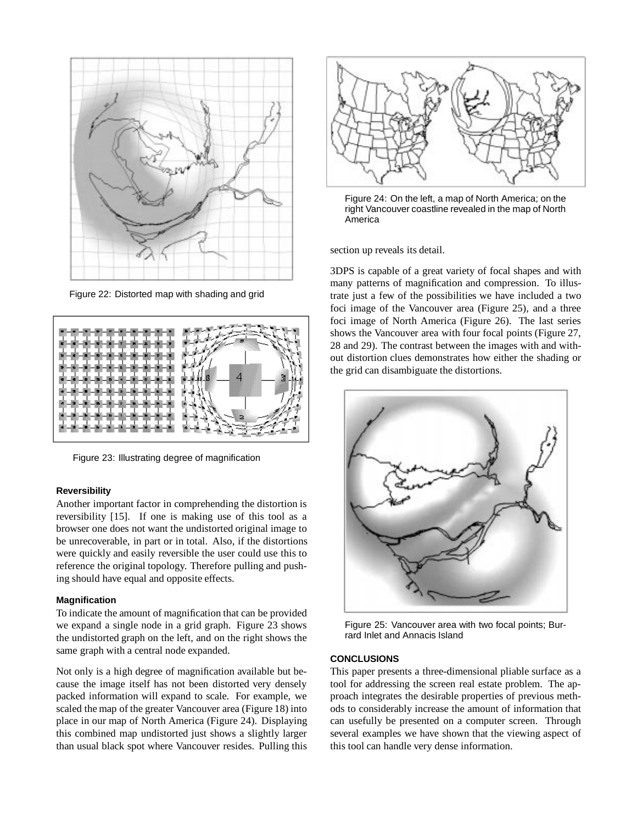

Figure 22: Distorted map with shading and grid



Figure 23: Illustrating degree of magnification

#### **Reversibility**

Another important factor in comprehending the distortion is reversibility [15]. If one is making use of this tool as a browser one does not want the undistorted original image to be unrecoverable, in part or in total. Also, if the distortions were quickly and easily reversible the user could use this to reference the original topology. Therefore pulling and pushing should have equal and opposite effects.

# **Magnification**

To indicate the amount of magnification that can be provided we expand a single node in a grid graph. Figure 23 shows the undistorted graph on the left, and on the right shows the same graph with a central node expanded.

Not only is a high degree of magnification available but because the image itself has not been distorted very densely packed information will expand to scale. For example, we scaled the map of the greater Vancouver area (Figure 18) into place in our map of North America (Figure 24). Displaying this combined map undistorted just shows a slightly larger than usual black spot where Vancouver resides. Pulling this



Figure 24: On the left, a map of North America; on the right Vancouver coastline revealed in the map of North America

section up reveals its detail.

3DPS is capable of a great variety of focal shapes and with many patterns of magnification and compression. To illustrate just a few of the possibilities we have included a two foci image of the Vancouver area (Figure 25), and a three foci image of North America (Figure 26). The last series shows the Vancouver area with four focal points (Figure 27, 28 and 29). The contrast between the images with and without distortion clues demonstrates how either the shading or the grid can disambiguate the distortions.



Figure 25: Vancouver area with two focal points; Burrard Inlet and Annacis Island

## **CONCLUSIONS**

This paper presents a three-dimensional pliable surface as a tool for addressing the screen real estate problem. The approach integrates the desirable properties of previous methods to considerably increase the amount of information that can usefully be presented on a computer screen. Through several examples we have shown that the viewing aspect of this tool can handle very dense information.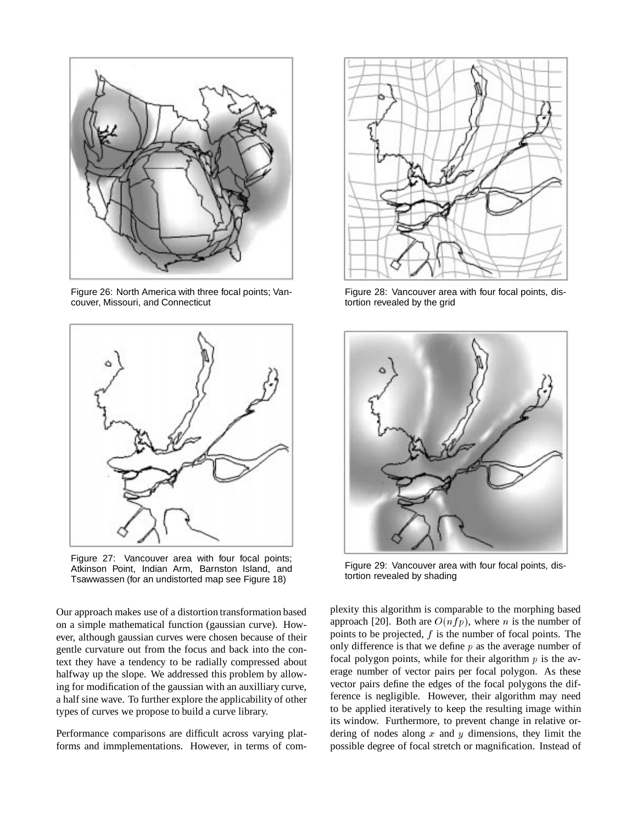

Figure 26: North America with three focal points; Vancouver, Missouri, and Connecticut



Figure 27: Vancouver area with four focal points; Atkinson Point, Indian Arm, Barnston Island, and Tsawwassen (for an undistorted map see Figure 18)

Our approach makes use of a distortion transformation based on a simple mathematical function (gaussian curve). However, although gaussian curves were chosen because of their gentle curvature out from the focus and back into the context they have a tendency to be radially compressed about halfway up the slope. We addressed this problem by allowing for modification of the gaussian with an auxilliary curve, a half sine wave. To further explore the applicability of other types of curves we propose to build a curve library.

Performance comparisons are difficult across varying platforms and immplementations. However, in terms of com-



Figure 28: Vancouver area with four focal points, distortion revealed by the grid



Figure 29: Vancouver area with four focal points, distortion revealed by shading

plexity this algorithm is comparable to the morphing based approach [20]. Both are  $O(nfp)$ , where *n* is the number of points to be projected,  $f$  is the number of focal points. The only difference is that we define  $p$  as the average number of focal polygon points, while for their algorithm  $p$  is the average number of vector pairs per focal polygon. As these vector pairs define the edges of the focal polygons the difference is negligible. However, their algorithm may need to be applied iteratively to keep the resulting image within its window. Furthermore, to prevent change in relative ordering of nodes along  $x$  and  $y$  dimensions, they limit the possible degree of focal stretch or magnification. Instead of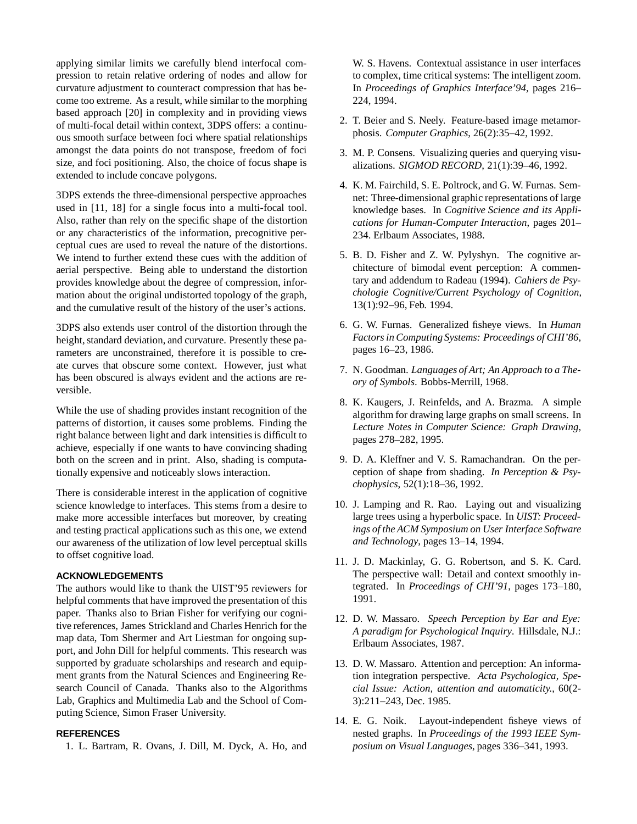applying similar limits we carefully blend interfocal compression to retain relative ordering of nodes and allow for curvature adjustment to counteract compression that has become too extreme. As a result, while similar to the morphing based approach [20] in complexity and in providing views of multi-focal detail within context, 3DPS offers: a continuous smooth surface between foci where spatial relationships amongst the data points do not transpose, freedom of foci size, and foci positioning. Also, the choice of focus shape is extended to include concave polygons.

3DPS extends the three-dimensional perspective approaches used in [11, 18] for a single focus into a multi-focal tool. Also, rather than rely on the specific shape of the distortion or any characteristics of the information, precognitive perceptual cues are used to reveal the nature of the distortions. We intend to further extend these cues with the addition of aerial perspective. Being able to understand the distortion provides knowledge about the degree of compression, information about the original undistorted topology of the graph, and the cumulative result of the history of the user's actions.

3DPS also extends user control of the distortion through the height, standard deviation, and curvature. Presently these parameters are unconstrained, therefore it is possible to create curves that obscure some context. However, just what has been obscured is always evident and the actions are reversible.

While the use of shading provides instant recognition of the patterns of distortion, it causes some problems. Finding the right balance between light and dark intensities is difficult to achieve, especially if one wants to have convincing shading both on the screen and in print. Also, shading is computationally expensive and noticeably slows interaction.

There is considerable interest in the application of cognitive science knowledge to interfaces. This stems from a desire to make more accessible interfaces but moreover, by creating and testing practical applications such as this one, we extend our awareness of the utilization of low level perceptual skills to offset cognitive load.

#### **ACKNOWLEDGEMENTS**

The authors would like to thank the UIST'95 reviewers for helpful comments that have improved the presentation of this paper. Thanks also to Brian Fisher for verifying our cognitive references, James Strickland and Charles Henrich for the map data, Tom Shermer and Art Liestman for ongoing support, and John Dill for helpful comments. This research was supported by graduate scholarships and research and equipment grants from the Natural Sciences and Engineering Research Council of Canada. Thanks also to the Algorithms Lab, Graphics and Multimedia Lab and the School of Computing Science, Simon Fraser University.

# **REFERENCES**

1. L. Bartram, R. Ovans, J. Dill, M. Dyck, A. Ho, and

W. S. Havens. Contextual assistance in user interfaces to complex, time critical systems: The intelligent zoom. In *Proceedings of Graphics Interface'94*, pages 216– 224, 1994.

- 2. T. Beier and S. Neely. Feature-based image metamorphosis. *Computer Graphics*, 26(2):35–42, 1992.
- 3. M. P. Consens. Visualizing queries and querying visualizations. *SIGMOD RECORD*, 21(1):39–46, 1992.
- 4. K. M. Fairchild, S. E. Poltrock, and G. W. Furnas. Semnet: Three-dimensional graphic representations of large knowledge bases. In *Cognitive Science and its Applications for Human-Computer Interaction*, pages 201– 234. Erlbaum Associates, 1988.
- 5. B. D. Fisher and Z. W. Pylyshyn. The cognitive architecture of bimodal event perception: A commentary and addendum to Radeau (1994). *Cahiers de Psychologie Cognitive/Current Psychology of Cognition*, 13(1):92–96, Feb. 1994.
- 6. G. W. Furnas. Generalized fisheye views. In *Human Factors in Computing Systems: Proceedings of CHI'86*, pages 16–23, 1986.
- 7. N. Goodman. *Languages of Art; An Approach to a Theory of Symbols*. Bobbs-Merrill, 1968.
- 8. K. Kaugers, J. Reinfelds, and A. Brazma. A simple algorithm for drawing large graphs on small screens. In *Lecture Notes in Computer Science: Graph Drawing*, pages 278–282, 1995.
- 9. D. A. Kleffner and V. S. Ramachandran. On the perception of shape from shading. *In Perception & Psychophysics*, 52(1):18–36, 1992.
- 10. J. Lamping and R. Rao. Laying out and visualizing large trees using a hyperbolic space. In *UIST: Proceedings of the ACM Symposium on User Interface Software and Technology*, pages 13–14, 1994.
- 11. J. D. Mackinlay, G. G. Robertson, and S. K. Card. The perspective wall: Detail and context smoothly integrated. In *Proceedings of CHI'91*, pages 173–180, 1991.
- 12. D. W. Massaro. *Speech Perception by Ear and Eye: A paradigm for Psychological Inquiry*. Hillsdale, N.J.: Erlbaum Associates, 1987.
- 13. D. W. Massaro. Attention and perception: An information integration perspective. *Acta Psychologica, Special Issue: Action, attention and automaticity.*, 60(2- 3):211–243, Dec. 1985.
- 14. E. G. Noik. Layout-independent fisheye views of nested graphs. In *Proceedings of the 1993 IEEE Symposium on Visual Languages*, pages 336–341, 1993.